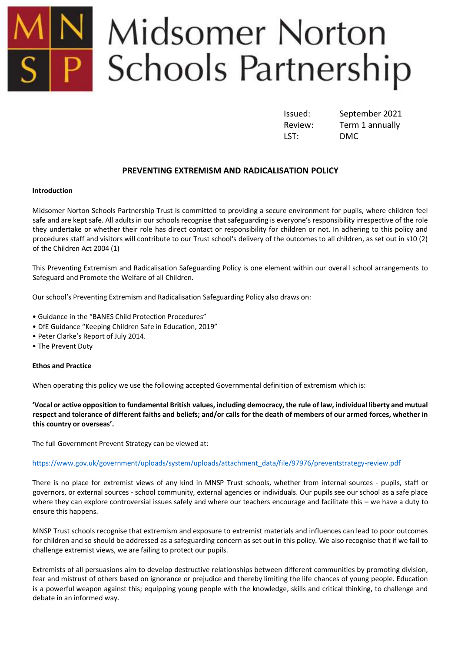# Midsomer Norton<br>Schools Partnership

LST: DMC

Issued: September 2021 Review: Term 1 annually

# **PREVENTING EXTREMISM AND RADICALISATION POLICY**

### **Introduction**

Midsomer Norton Schools Partnership Trust is committed to providing a secure environment for pupils, where children feel safe and are kept safe. All adults in our schools recognise that safeguarding is everyone's responsibility irrespective of the role they undertake or whether their role has direct contact or responsibility for children or not. In adhering to this policy and procedures staff and visitors will contribute to our Trust school's delivery of the outcomes to all children, as set out in s10 (2) of the Children Act 2004 (1)

This Preventing Extremism and Radicalisation Safeguarding Policy is one element within our overall school arrangements to Safeguard and Promote the Welfare of all Children.

Our school's Preventing Extremism and Radicalisation Safeguarding Policy also draws on:

- Guidance in the "BANES Child Protection Procedures"
- DfE Guidance "Keeping Children Safe in Education, 2019"
- Peter Clarke's Report of July 2014.
- The Prevent Duty

# **Ethos and Practice**

When operating this policy we use the following accepted Governmental definition of extremism which is:

**'Vocal or active opposition to fundamental British values, including democracy, the rule of law, individual liberty and mutual respect and tolerance of different faiths and beliefs; and/or calls for the death of members of our armed forces, whether in this country or overseas'.**

The full Government Prevent Strategy can be viewed at:

### [https://www.gov.uk/government/uploads/system/uploads/attachment\\_data/file/97976/preventstrategy-review.pdf](https://www.gov.uk/government/uploads/system/uploads/attachment_data/file/97976/preventstrategy-review.pdf)

There is no place for extremist views of any kind in MNSP Trust schools, whether from internal sources - pupils, staff or governors, or external sources - school community, external agencies or individuals. Our pupils see our school as a safe place where they can explore controversial issues safely and where our teachers encourage and facilitate this – we have a duty to ensure this happens.

MNSP Trust schools recognise that extremism and exposure to extremist materials and influences can lead to poor outcomes for children and so should be addressed as a safeguarding concern as set out in this policy. We also recognise that if we fail to challenge extremist views, we are failing to protect our pupils.

Extremists of all persuasions aim to develop destructive relationships between different communities by promoting division, fear and mistrust of others based on ignorance or prejudice and thereby limiting the life chances of young people. Education is a powerful weapon against this; equipping young people with the knowledge, skills and critical thinking, to challenge and debate in an informed way.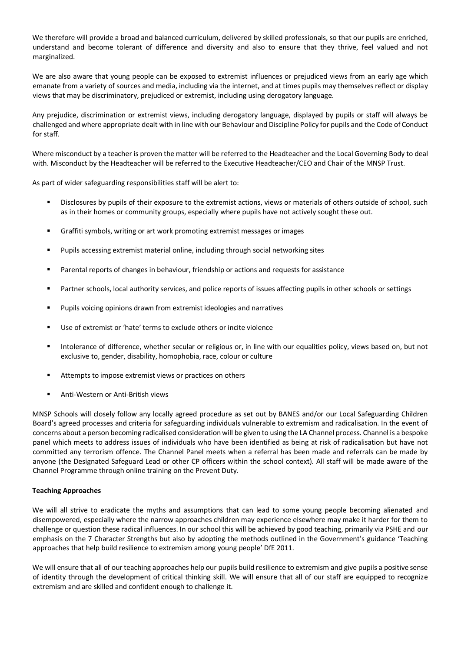We therefore will provide a broad and balanced curriculum, delivered by skilled professionals, so that our pupils are enriched, understand and become tolerant of difference and diversity and also to ensure that they thrive, feel valued and not marginalized.

We are also aware that young people can be exposed to extremist influences or prejudiced views from an early age which emanate from a variety of sources and media, including via the internet, and at times pupils may themselves reflect or display views that may be discriminatory, prejudiced or extremist, including using derogatory language.

Any prejudice, discrimination or extremist views, including derogatory language, displayed by pupils or staff will always be challenged and where appropriate dealt with in line with our Behaviour and Discipline Policy for pupils and the Code of Conduct for staff.

Where misconduct by a teacher is proven the matter will be referred to the Headteacher and the Local Governing Body to deal with. Misconduct by the Headteacher will be referred to the Executive Headteacher/CEO and Chair of the MNSP Trust.

As part of wider safeguarding responsibilities staff will be alert to:

- Disclosures by pupils of their exposure to the extremist actions, views or materials of others outside of school, such as in their homes or community groups, especially where pupils have not actively sought these out.
- Graffiti symbols, writing or art work promoting extremist messages or images
- Pupils accessing extremist material online, including through social networking sites
- Parental reports of changes in behaviour, friendship or actions and requests for assistance
- Partner schools, local authority services, and police reports of issues affecting pupils in other schools or settings
- Pupils voicing opinions drawn from extremist ideologies and narratives
- Use of extremist or 'hate' terms to exclude others or incite violence
- Intolerance of difference, whether secular or religious or, in line with our equalities policy, views based on, but not exclusive to, gender, disability, homophobia, race, colour or culture
- Attempts to impose extremist views or practices on others
- Anti-Western or Anti-British views

MNSP Schools will closely follow any locally agreed procedure as set out by BANES and/or our Local Safeguarding Children Board's agreed processes and criteria for safeguarding individuals vulnerable to extremism and radicalisation. In the event of concerns about a person becoming radicalised consideration will be given to using the LA Channel process. Channel is a bespoke panel which meets to address issues of individuals who have been identified as being at risk of radicalisation but have not committed any terrorism offence. The Channel Panel meets when a referral has been made and referrals can be made by anyone (the Designated Safeguard Lead or other CP officers within the school context). All staff will be made aware of the Channel Programme through online training on the Prevent Duty.

### **Teaching Approaches**

We will all strive to eradicate the myths and assumptions that can lead to some young people becoming alienated and disempowered, especially where the narrow approaches children may experience elsewhere may make it harder for them to challenge or question these radical influences. In our school this will be achieved by good teaching, primarily via PSHE and our emphasis on the 7 Character Strengths but also by adopting the methods outlined in the Government's guidance 'Teaching approaches that help build resilience to extremism among young people' DfE 2011.

We will ensure that all of our teaching approaches help our pupils build resilience to extremism and give pupils a positive sense of identity through the development of critical thinking skill. We will ensure that all of our staff are equipped to recognize extremism and are skilled and confident enough to challenge it.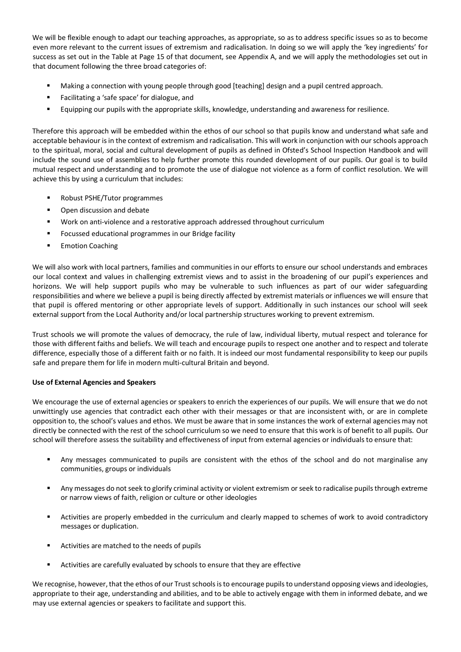We will be flexible enough to adapt our teaching approaches, as appropriate, so as to address specific issues so as to become even more relevant to the current issues of extremism and radicalisation. In doing so we will apply the 'key ingredients' for success as set out in the Table at Page 15 of that document, see Appendix A, and we will apply the methodologies set out in that document following the three broad categories of:

- Making a connection with young people through good [teaching] design and a pupil centred approach.
- Facilitating a 'safe space' for dialogue, and
- Equipping our pupils with the appropriate skills, knowledge, understanding and awareness for resilience.

Therefore this approach will be embedded within the ethos of our school so that pupils know and understand what safe and acceptable behaviour is in the context of extremism and radicalisation. This will work in conjunction with our schools approach to the spiritual, moral, social and cultural development of pupils as defined in Ofsted's School Inspection Handbook and will include the sound use of assemblies to help further promote this rounded development of our pupils. Our goal is to build mutual respect and understanding and to promote the use of dialogue not violence as a form of conflict resolution. We will achieve this by using a curriculum that includes:

- Robust PSHE/Tutor programmes
- Open discussion and debate
- Work on anti-violence and a restorative approach addressed throughout curriculum
- Focussed educational programmes in our Bridge facility
- Emotion Coaching

We will also work with local partners, families and communities in our efforts to ensure our school understands and embraces our local context and values in challenging extremist views and to assist in the broadening of our pupil's experiences and horizons. We will help support pupils who may be vulnerable to such influences as part of our wider safeguarding responsibilities and where we believe a pupil is being directly affected by extremist materials or influences we will ensure that that pupil is offered mentoring or other appropriate levels of support. Additionally in such instances our school will seek external support from the Local Authority and/or local partnership structures working to prevent extremism.

Trust schools we will promote the values of democracy, the rule of law, individual liberty, mutual respect and tolerance for those with different faiths and beliefs. We will teach and encourage pupils to respect one another and to respect and tolerate difference, especially those of a different faith or no faith. It is indeed our most fundamental responsibility to keep our pupils safe and prepare them for life in modern multi-cultural Britain and beyond.

# **Use of External Agencies and Speakers**

We encourage the use of external agencies or speakers to enrich the experiences of our pupils. We will ensure that we do not unwittingly use agencies that contradict each other with their messages or that are inconsistent with, or are in complete opposition to, the school's values and ethos. We must be aware that in some instances the work of external agencies may not directly be connected with the rest of the school curriculum so we need to ensure that this work is of benefit to all pupils. Our school will therefore assess the suitability and effectiveness of input from external agencies or individuals to ensure that:

- Any messages communicated to pupils are consistent with the ethos of the school and do not marginalise any communities, groups or individuals
- Any messages do not seek to glorify criminal activity or violent extremism or seek to radicalise pupils through extreme or narrow views of faith, religion or culture or other ideologies
- Activities are properly embedded in the curriculum and clearly mapped to schemes of work to avoid contradictory messages or duplication.
- Activities are matched to the needs of pupils
- Activities are carefully evaluated by schools to ensure that they are effective

We recognise, however, that the ethos of our Trust schools is to encourage pupils to understand opposing views and ideologies, appropriate to their age, understanding and abilities, and to be able to actively engage with them in informed debate, and we may use external agencies or speakers to facilitate and support this.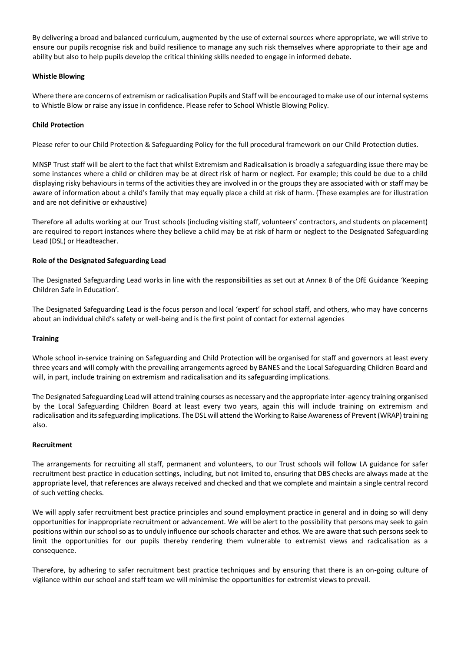By delivering a broad and balanced curriculum, augmented by the use of external sources where appropriate, we will strive to ensure our pupils recognise risk and build resilience to manage any such risk themselves where appropriate to their age and ability but also to help pupils develop the critical thinking skills needed to engage in informed debate.

### **Whistle Blowing**

Where there are concerns of extremism or radicalisation Pupils and Staff will be encouraged to make use of our internal systems to Whistle Blow or raise any issue in confidence. Please refer to School Whistle Blowing Policy.

### **Child Protection**

Please refer to our Child Protection & Safeguarding Policy for the full procedural framework on our Child Protection duties.

MNSP Trust staff will be alert to the fact that whilst Extremism and Radicalisation is broadly a safeguarding issue there may be some instances where a child or children may be at direct risk of harm or neglect. For example; this could be due to a child displaying risky behaviours in terms of the activities they are involved in or the groups they are associated with or staff may be aware of information about a child's family that may equally place a child at risk of harm. (These examples are for illustration and are not definitive or exhaustive)

Therefore all adults working at our Trust schools (including visiting staff, volunteers' contractors, and students on placement) are required to report instances where they believe a child may be at risk of harm or neglect to the Designated Safeguarding Lead (DSL) or Headteacher.

### **Role of the Designated Safeguarding Lead**

The Designated Safeguarding Lead works in line with the responsibilities as set out at Annex B of the DfE Guidance 'Keeping Children Safe in Education'.

The Designated Safeguarding Lead is the focus person and local 'expert' for school staff, and others, who may have concerns about an individual child's safety or well-being and is the first point of contact for external agencies

### **Training**

Whole school in-service training on Safeguarding and Child Protection will be organised for staff and governors at least every three years and will comply with the prevailing arrangements agreed by BANES and the Local Safeguarding Children Board and will, in part, include training on extremism and radicalisation and its safeguarding implications.

The Designated Safeguarding Lead will attend training courses as necessary and the appropriate inter-agency training organised by the Local Safeguarding Children Board at least every two years, again this will include training on extremism and radicalisation and its safeguarding implications. The DSL will attend the Working to Raise Awareness of Prevent (WRAP) training also.

### **Recruitment**

The arrangements for recruiting all staff, permanent and volunteers, to our Trust schools will follow LA guidance for safer recruitment best practice in education settings, including, but not limited to, ensuring that DBS checks are always made at the appropriate level, that references are always received and checked and that we complete and maintain a single central record of such vetting checks.

We will apply safer recruitment best practice principles and sound employment practice in general and in doing so will deny opportunities for inappropriate recruitment or advancement. We will be alert to the possibility that persons may seek to gain positions within our school so as to unduly influence our schools character and ethos. We are aware that such persons seek to limit the opportunities for our pupils thereby rendering them vulnerable to extremist views and radicalisation as a consequence.

Therefore, by adhering to safer recruitment best practice techniques and by ensuring that there is an on-going culture of vigilance within our school and staff team we will minimise the opportunities for extremist views to prevail.